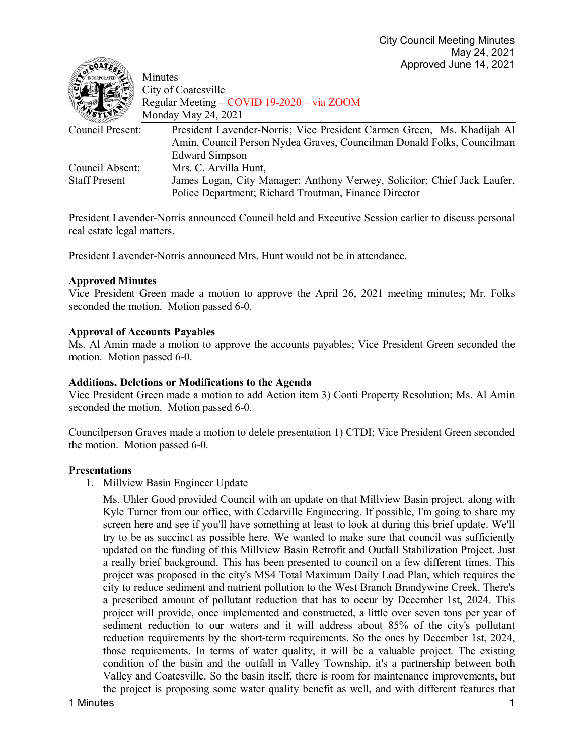| Minutes<br>City of Coatesville<br>Regular Meeting – COVID 19-2020 – via ZOOM                |
|---------------------------------------------------------------------------------------------|
| Monday May 24, 2021                                                                         |
| Council Present:<br>President Lavender-Norris; Vice President Carmen Green, Ms. Khadijah Al |
| Amin, Council Person Nydea Graves, Councilman Donald Folks, Councilman                      |
| <b>Edward Simpson</b>                                                                       |
| Mrs. C. Arvilla Hunt,<br>Council Absent:                                                    |
| James Logan, City Manager; Anthony Verwey, Solicitor; Chief Jack Laufer,                    |
| Police Department; Richard Troutman, Finance Director                                       |
|                                                                                             |

President Lavender-Norris announced Council held and Executive Session earlier to discuss personal real estate legal matters.

President Lavender-Norris announced Mrs. Hunt would not be in attendance.

#### **Approved Minutes**

 $\mathscr{D}_{\mathbf{a}}$ 

Vice President Green made a motion to approve the April 26, 2021 meeting minutes; Mr. Folks seconded the motion. Motion passed 6-0.

#### **Approval of Accounts Payables**

Ms. Al Amin made a motion to approve the accounts payables; Vice President Green seconded the motion. Motion passed 6-0.

#### **Additions, Deletions or Modifications to the Agenda**

Vice President Green made a motion to add Action item 3) Conti Property Resolution; Ms. Al Amin seconded the motion. Motion passed 6-0.

Councilperson Graves made a motion to delete presentation 1) CTDI; Vice President Green seconded the motion. Motion passed 6-0.

#### **Presentations**

1. Millview Basin Engineer Update

Ms. Uhler Good provided Council with an update on that Millview Basin project, along with Kyle Turner from our office, with Cedarville Engineering. If possible, I'm going to share my screen here and see if you'll have something at least to look at during this brief update. We'll try to be as succinct as possible here. We wanted to make sure that council was sufficiently updated on the funding of this Millview Basin Retrofit and Outfall Stabilization Project. Just a really brief background. This has been presented to council on a few different times. This project was proposed in the city's MS4 Total Maximum Daily Load Plan, which requires the city to reduce sediment and nutrient pollution to the West Branch Brandywine Creek. There's a prescribed amount of pollutant reduction that has to occur by December 1st, 2024. This project will provide, once implemented and constructed, a little over seven tons per year of sediment reduction to our waters and it will address about 85% of the city's pollutant reduction requirements by the short-term requirements. So the ones by December 1st, 2024, those requirements. In terms of water quality, it will be a valuable project. The existing condition of the basin and the outfall in Valley Township, it's a partnership between both Valley and Coatesville. So the basin itself, there is room for maintenance improvements, but the project is proposing some water quality benefit as well, and with different features that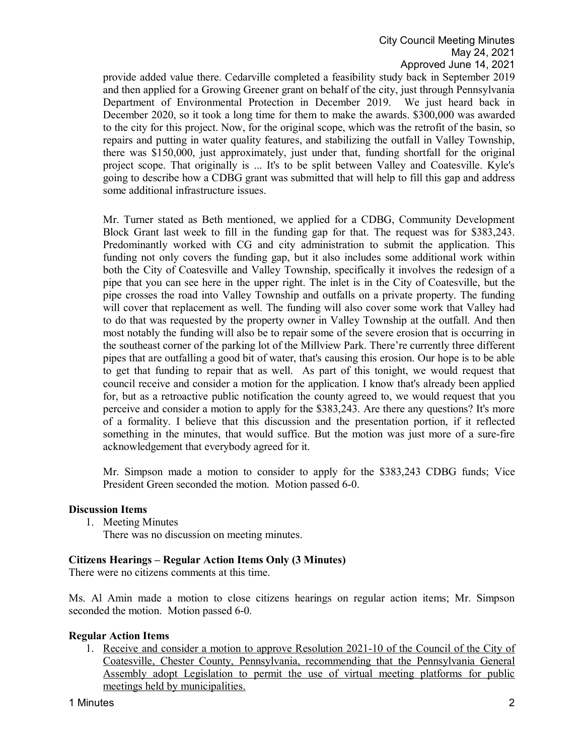provide added value there. Cedarville completed a feasibility study back in September 2019 and then applied for a Growing Greener grant on behalf of the city, just through Pennsylvania Department of Environmental Protection in December 2019. We just heard back in December 2020, so it took a long time for them to make the awards. \$300,000 was awarded to the city for this project. Now, for the original scope, which was the retrofit of the basin, so repairs and putting in water quality features, and stabilizing the outfall in Valley Township, there was \$150,000, just approximately, just under that, funding shortfall for the original project scope. That originally is ... It's to be split between Valley and Coatesville. Kyle's going to describe how a CDBG grant was submitted that will help to fill this gap and address some additional infrastructure issues.

Mr. Turner stated as Beth mentioned, we applied for a CDBG, Community Development Block Grant last week to fill in the funding gap for that. The request was for \$383,243. Predominantly worked with CG and city administration to submit the application. This funding not only covers the funding gap, but it also includes some additional work within both the City of Coatesville and Valley Township, specifically it involves the redesign of a pipe that you can see here in the upper right. The inlet is in the City of Coatesville, but the pipe crosses the road into Valley Township and outfalls on a private property. The funding will cover that replacement as well. The funding will also cover some work that Valley had to do that was requested by the property owner in Valley Township at the outfall. And then most notably the funding will also be to repair some of the severe erosion that is occurring in the southeast corner of the parking lot of the Millview Park. There're currently three different pipes that are outfalling a good bit of water, that's causing this erosion. Our hope is to be able to get that funding to repair that as well. As part of this tonight, we would request that council receive and consider a motion for the application. I know that's already been applied for, but as a retroactive public notification the county agreed to, we would request that you perceive and consider a motion to apply for the \$383,243. Are there any questions? It's more of a formality. I believe that this discussion and the presentation portion, if it reflected something in the minutes, that would suffice. But the motion was just more of a sure-fire acknowledgement that everybody agreed for it.

Mr. Simpson made a motion to consider to apply for the \$383,243 CDBG funds; Vice President Green seconded the motion. Motion passed 6-0.

# **Discussion Items**

1. Meeting Minutes

There was no discussion on meeting minutes.

# **Citizens Hearings – Regular Action Items Only (3 Minutes)**

There were no citizens comments at this time.

Ms. Al Amin made a motion to close citizens hearings on regular action items; Mr. Simpson seconded the motion. Motion passed 6-0.

# **Regular Action Items**

1. Receive and consider a motion to approve Resolution 2021-10 of the Council of the City of Coatesville, Chester County, Pennsylvania, recommending that the Pennsylvania General Assembly adopt Legislation to permit the use of virtual meeting platforms for public meetings held by municipalities.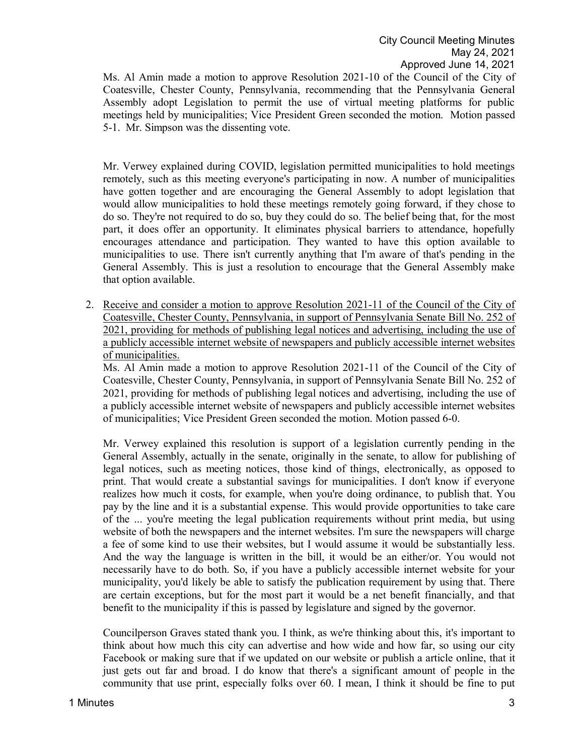Ms. Al Amin made a motion to approve Resolution 2021-10 of the Council of the City of Coatesville, Chester County, Pennsylvania, recommending that the Pennsylvania General Assembly adopt Legislation to permit the use of virtual meeting platforms for public meetings held by municipalities; Vice President Green seconded the motion. Motion passed 5-1. Mr. Simpson was the dissenting vote.

Mr. Verwey explained during COVID, legislation permitted municipalities to hold meetings remotely, such as this meeting everyone's participating in now. A number of municipalities have gotten together and are encouraging the General Assembly to adopt legislation that would allow municipalities to hold these meetings remotely going forward, if they chose to do so. They're not required to do so, buy they could do so. The belief being that, for the most part, it does offer an opportunity. It eliminates physical barriers to attendance, hopefully encourages attendance and participation. They wanted to have this option available to municipalities to use. There isn't currently anything that I'm aware of that's pending in the General Assembly. This is just a resolution to encourage that the General Assembly make that option available.

2. Receive and consider a motion to approve Resolution 2021-11 of the Council of the City of Coatesville, Chester County, Pennsylvania, in support of Pennsylvania Senate Bill No. 252 of 2021, providing for methods of publishing legal notices and advertising, including the use of a publicly accessible internet website of newspapers and publicly accessible internet websites of municipalities.

Ms. Al Amin made a motion to approve Resolution 2021-11 of the Council of the City of Coatesville, Chester County, Pennsylvania, in support of Pennsylvania Senate Bill No. 252 of 2021, providing for methods of publishing legal notices and advertising, including the use of a publicly accessible internet website of newspapers and publicly accessible internet websites of municipalities; Vice President Green seconded the motion. Motion passed 6-0.

Mr. Verwey explained this resolution is support of a legislation currently pending in the General Assembly, actually in the senate, originally in the senate, to allow for publishing of legal notices, such as meeting notices, those kind of things, electronically, as opposed to print. That would create a substantial savings for municipalities. I don't know if everyone realizes how much it costs, for example, when you're doing ordinance, to publish that. You pay by the line and it is a substantial expense. This would provide opportunities to take care of the ... you're meeting the legal publication requirements without print media, but using website of both the newspapers and the internet websites. I'm sure the newspapers will charge a fee of some kind to use their websites, but I would assume it would be substantially less. And the way the language is written in the bill, it would be an either/or. You would not necessarily have to do both. So, if you have a publicly accessible internet website for your municipality, you'd likely be able to satisfy the publication requirement by using that. There are certain exceptions, but for the most part it would be a net benefit financially, and that benefit to the municipality if this is passed by legislature and signed by the governor.

Councilperson Graves stated thank you. I think, as we're thinking about this, it's important to think about how much this city can advertise and how wide and how far, so using our city Facebook or making sure that if we updated on our website or publish a article online, that it just gets out far and broad. I do know that there's a significant amount of people in the community that use print, especially folks over 60. I mean, I think it should be fine to put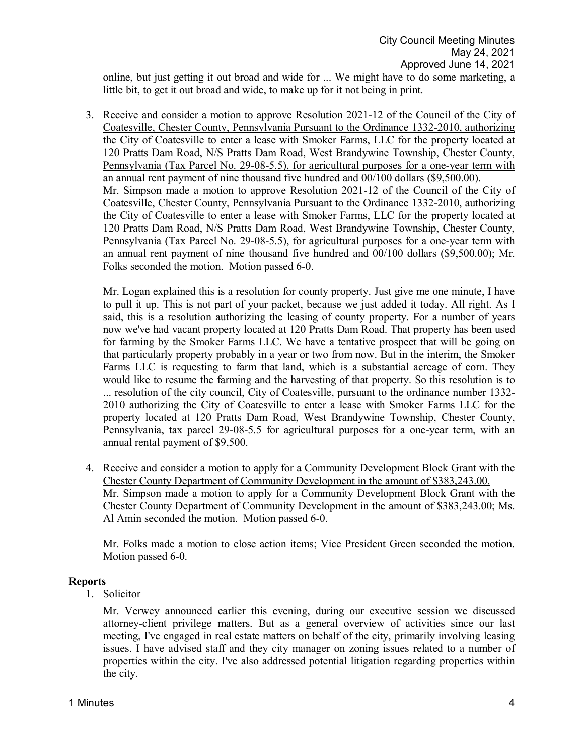online, but just getting it out broad and wide for ... We might have to do some marketing, a little bit, to get it out broad and wide, to make up for it not being in print.

3. Receive and consider a motion to approve Resolution 2021-12 of the Council of the City of Coatesville, Chester County, Pennsylvania Pursuant to the Ordinance 1332-2010, authorizing the City of Coatesville to enter a lease with Smoker Farms, LLC for the property located at 120 Pratts Dam Road, N/S Pratts Dam Road, West Brandywine Township, Chester County, Pennsylvania (Tax Parcel No. 29-08-5.5), for agricultural purposes for a one-year term with an annual rent payment of nine thousand five hundred and 00/100 dollars (\$9,500.00). Mr. Simpson made a motion to approve Resolution 2021-12 of the Council of the City of Coatesville, Chester County, Pennsylvania Pursuant to the Ordinance 1332-2010, authorizing the City of Coatesville to enter a lease with Smoker Farms, LLC for the property located at 120 Pratts Dam Road, N/S Pratts Dam Road, West Brandywine Township, Chester County, Pennsylvania (Tax Parcel No. 29-08-5.5), for agricultural purposes for a one-year term with an annual rent payment of nine thousand five hundred and 00/100 dollars (\$9,500.00); Mr. Folks seconded the motion. Motion passed 6-0.

Mr. Logan explained this is a resolution for county property. Just give me one minute, I have to pull it up. This is not part of your packet, because we just added it today. All right. As I said, this is a resolution authorizing the leasing of county property. For a number of years now we've had vacant property located at 120 Pratts Dam Road. That property has been used for farming by the Smoker Farms LLC. We have a tentative prospect that will be going on that particularly property probably in a year or two from now. But in the interim, the Smoker Farms LLC is requesting to farm that land, which is a substantial acreage of corn. They would like to resume the farming and the harvesting of that property. So this resolution is to ... resolution of the city council, City of Coatesville, pursuant to the ordinance number 1332- 2010 authorizing the City of Coatesville to enter a lease with Smoker Farms LLC for the property located at 120 Pratts Dam Road, West Brandywine Township, Chester County, Pennsylvania, tax parcel 29-08-5.5 for agricultural purposes for a one-year term, with an annual rental payment of \$9,500.

4. Receive and consider a motion to apply for a Community Development Block Grant with the Chester County Department of Community Development in the amount of \$383,243.00. Mr. Simpson made a motion to apply for a Community Development Block Grant with the Chester County Department of Community Development in the amount of \$383,243.00; Ms. Al Amin seconded the motion. Motion passed 6-0.

Mr. Folks made a motion to close action items; Vice President Green seconded the motion. Motion passed 6-0.

#### **Reports**

1. Solicitor

Mr. Verwey announced earlier this evening, during our executive session we discussed attorney-client privilege matters. But as a general overview of activities since our last meeting, I've engaged in real estate matters on behalf of the city, primarily involving leasing issues. I have advised staff and they city manager on zoning issues related to a number of properties within the city. I've also addressed potential litigation regarding properties within the city.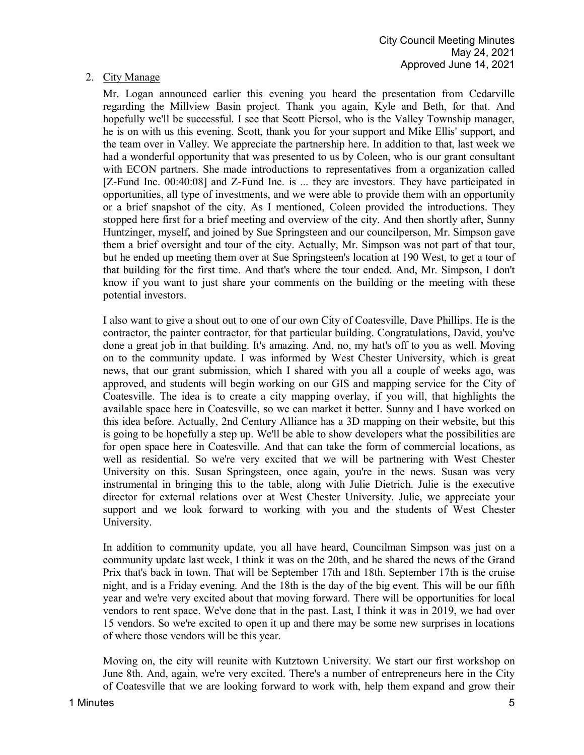# 2. City Manage

Mr. Logan announced earlier this evening you heard the presentation from Cedarville regarding the Millview Basin project. Thank you again, Kyle and Beth, for that. And hopefully we'll be successful. I see that Scott Piersol, who is the Valley Township manager, he is on with us this evening. Scott, thank you for your support and Mike Ellis' support, and the team over in Valley. We appreciate the partnership here. In addition to that, last week we had a wonderful opportunity that was presented to us by Coleen, who is our grant consultant with ECON partners. She made introductions to representatives from a organization called [Z-Fund Inc. 00:40:08] and Z-Fund Inc. is ... they are investors. They have participated in opportunities, all type of investments, and we were able to provide them with an opportunity or a brief snapshot of the city. As I mentioned, Coleen provided the introductions. They stopped here first for a brief meeting and overview of the city. And then shortly after, Sunny Huntzinger, myself, and joined by Sue Springsteen and our councilperson, Mr. Simpson gave them a brief oversight and tour of the city. Actually, Mr. Simpson was not part of that tour, but he ended up meeting them over at Sue Springsteen's location at 190 West, to get a tour of that building for the first time. And that's where the tour ended. And, Mr. Simpson, I don't know if you want to just share your comments on the building or the meeting with these potential investors.

I also want to give a shout out to one of our own City of Coatesville, Dave Phillips. He is the contractor, the painter contractor, for that particular building. Congratulations, David, you've done a great job in that building. It's amazing. And, no, my hat's off to you as well. Moving on to the community update. I was informed by West Chester University, which is great news, that our grant submission, which I shared with you all a couple of weeks ago, was approved, and students will begin working on our GIS and mapping service for the City of Coatesville. The idea is to create a city mapping overlay, if you will, that highlights the available space here in Coatesville, so we can market it better. Sunny and I have worked on this idea before. Actually, 2nd Century Alliance has a 3D mapping on their website, but this is going to be hopefully a step up. We'll be able to show developers what the possibilities are for open space here in Coatesville. And that can take the form of commercial locations, as well as residential. So we're very excited that we will be partnering with West Chester University on this. Susan Springsteen, once again, you're in the news. Susan was very instrumental in bringing this to the table, along with Julie Dietrich. Julie is the executive director for external relations over at West Chester University. Julie, we appreciate your support and we look forward to working with you and the students of West Chester University.

In addition to community update, you all have heard, Councilman Simpson was just on a community update last week, I think it was on the 20th, and he shared the news of the Grand Prix that's back in town. That will be September 17th and 18th. September 17th is the cruise night, and is a Friday evening. And the 18th is the day of the big event. This will be our fifth year and we're very excited about that moving forward. There will be opportunities for local vendors to rent space. We've done that in the past. Last, I think it was in 2019, we had over 15 vendors. So we're excited to open it up and there may be some new surprises in locations of where those vendors will be this year.

Moving on, the city will reunite with Kutztown University. We start our first workshop on June 8th. And, again, we're very excited. There's a number of entrepreneurs here in the City of Coatesville that we are looking forward to work with, help them expand and grow their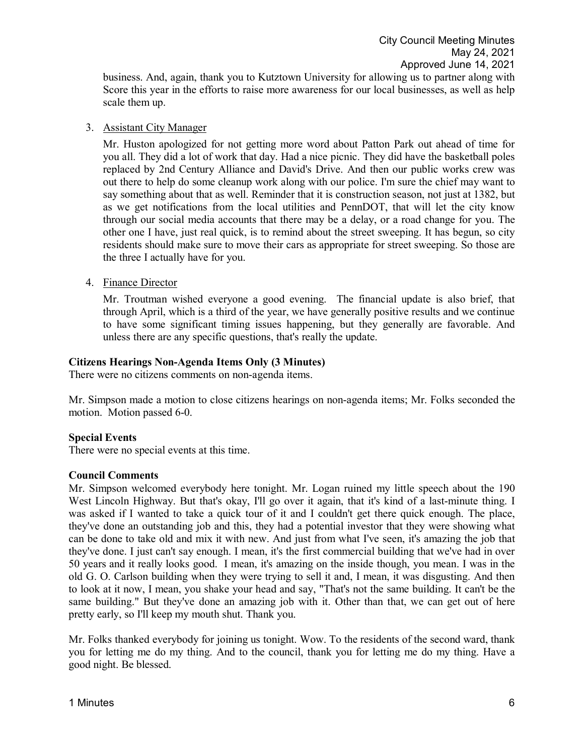business. And, again, thank you to Kutztown University for allowing us to partner along with Score this year in the efforts to raise more awareness for our local businesses, as well as help scale them up.

#### 3. Assistant City Manager

Mr. Huston apologized for not getting more word about Patton Park out ahead of time for you all. They did a lot of work that day. Had a nice picnic. They did have the basketball poles replaced by 2nd Century Alliance and David's Drive. And then our public works crew was out there to help do some cleanup work along with our police. I'm sure the chief may want to say something about that as well. Reminder that it is construction season, not just at 1382, but as we get notifications from the local utilities and PennDOT, that will let the city know through our social media accounts that there may be a delay, or a road change for you. The other one I have, just real quick, is to remind about the street sweeping. It has begun, so city residents should make sure to move their cars as appropriate for street sweeping. So those are the three I actually have for you.

4. Finance Director

Mr. Troutman wished everyone a good evening. The financial update is also brief, that through April, which is a third of the year, we have generally positive results and we continue to have some significant timing issues happening, but they generally are favorable. And unless there are any specific questions, that's really the update.

# **Citizens Hearings Non-Agenda Items Only (3 Minutes)**

There were no citizens comments on non-agenda items.

Mr. Simpson made a motion to close citizens hearings on non-agenda items; Mr. Folks seconded the motion. Motion passed 6-0.

# **Special Events**

There were no special events at this time.

# **Council Comments**

Mr. Simpson welcomed everybody here tonight. Mr. Logan ruined my little speech about the 190 West Lincoln Highway. But that's okay, I'll go over it again, that it's kind of a last-minute thing. I was asked if I wanted to take a quick tour of it and I couldn't get there quick enough. The place, they've done an outstanding job and this, they had a potential investor that they were showing what can be done to take old and mix it with new. And just from what I've seen, it's amazing the job that they've done. I just can't say enough. I mean, it's the first commercial building that we've had in over 50 years and it really looks good. I mean, it's amazing on the inside though, you mean. I was in the old G. O. Carlson building when they were trying to sell it and, I mean, it was disgusting. And then to look at it now, I mean, you shake your head and say, "That's not the same building. It can't be the same building." But they've done an amazing job with it. Other than that, we can get out of here pretty early, so I'll keep my mouth shut. Thank you.

Mr. Folks thanked everybody for joining us tonight. Wow. To the residents of the second ward, thank you for letting me do my thing. And to the council, thank you for letting me do my thing. Have a good night. Be blessed.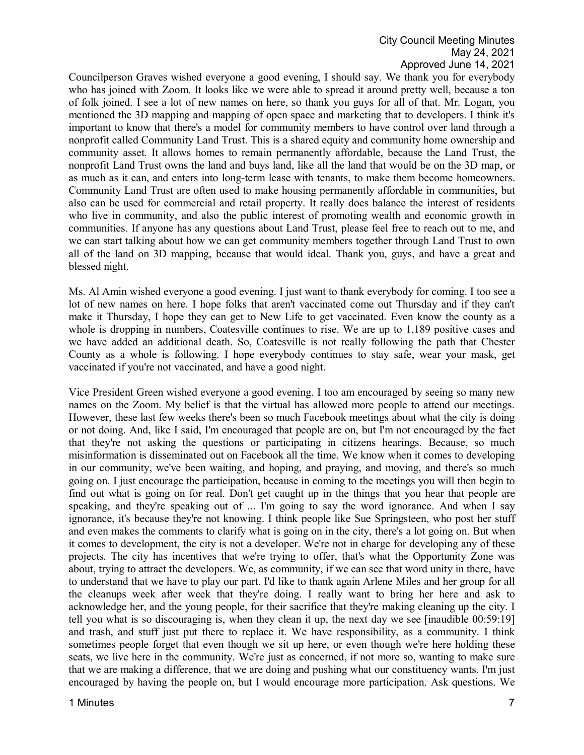# City Council Meeting Minutes May 24, 2021 Approved June 14, 2021

Councilperson Graves wished everyone a good evening, I should say. We thank you for everybody who has joined with Zoom. It looks like we were able to spread it around pretty well, because a ton of folk joined. I see a lot of new names on here, so thank you guys for all of that. Mr. Logan, you mentioned the 3D mapping and mapping of open space and marketing that to developers. I think it's important to know that there's a model for community members to have control over land through a nonprofit called Community Land Trust. This is a shared equity and community home ownership and community asset. It allows homes to remain permanently affordable, because the Land Trust, the nonprofit Land Trust owns the land and buys land, like all the land that would be on the 3D map, or as much as it can, and enters into long-term lease with tenants, to make them become homeowners. Community Land Trust are often used to make housing permanently affordable in communities, but also can be used for commercial and retail property. It really does balance the interest of residents who live in community, and also the public interest of promoting wealth and economic growth in communities. If anyone has any questions about Land Trust, please feel free to reach out to me, and we can start talking about how we can get community members together through Land Trust to own all of the land on 3D mapping, because that would ideal. Thank you, guys, and have a great and blessed night.

Ms. Al Amin wished everyone a good evening. I just want to thank everybody for coming. I too see a lot of new names on here. I hope folks that aren't vaccinated come out Thursday and if they can't make it Thursday, I hope they can get to New Life to get vaccinated. Even know the county as a whole is dropping in numbers, Coatesville continues to rise. We are up to 1,189 positive cases and we have added an additional death. So, Coatesville is not really following the path that Chester County as a whole is following. I hope everybody continues to stay safe, wear your mask, get vaccinated if you're not vaccinated, and have a good night.

Vice President Green wished everyone a good evening. I too am encouraged by seeing so many new names on the Zoom. My belief is that the virtual has allowed more people to attend our meetings. However, these last few weeks there's been so much Facebook meetings about what the city is doing or not doing. And, like I said, I'm encouraged that people are on, but I'm not encouraged by the fact that they're not asking the questions or participating in citizens hearings. Because, so much misinformation is disseminated out on Facebook all the time. We know when it comes to developing in our community, we've been waiting, and hoping, and praying, and moving, and there's so much going on. I just encourage the participation, because in coming to the meetings you will then begin to find out what is going on for real. Don't get caught up in the things that you hear that people are speaking, and they're speaking out of ... I'm going to say the word ignorance. And when I say ignorance, it's because they're not knowing. I think people like Sue Springsteen, who post her stuff and even makes the comments to clarify what is going on in the city, there's a lot going on. But when it comes to development, the city is not a developer. We're not in charge for developing any of these projects. The city has incentives that we're trying to offer, that's what the Opportunity Zone was about, trying to attract the developers. We, as community, if we can see that word unity in there, have to understand that we have to play our part. I'd like to thank again Arlene Miles and her group for all the cleanups week after week that they're doing. I really want to bring her here and ask to acknowledge her, and the young people, for their sacrifice that they're making cleaning up the city. I tell you what is so discouraging is, when they clean it up, the next day we see [inaudible 00:59:19] and trash, and stuff just put there to replace it. We have responsibility, as a community. I think sometimes people forget that even though we sit up here, or even though we're here holding these seats, we live here in the community. We're just as concerned, if not more so, wanting to make sure that we are making a difference, that we are doing and pushing what our constituency wants. I'm just encouraged by having the people on, but I would encourage more participation. Ask questions. We